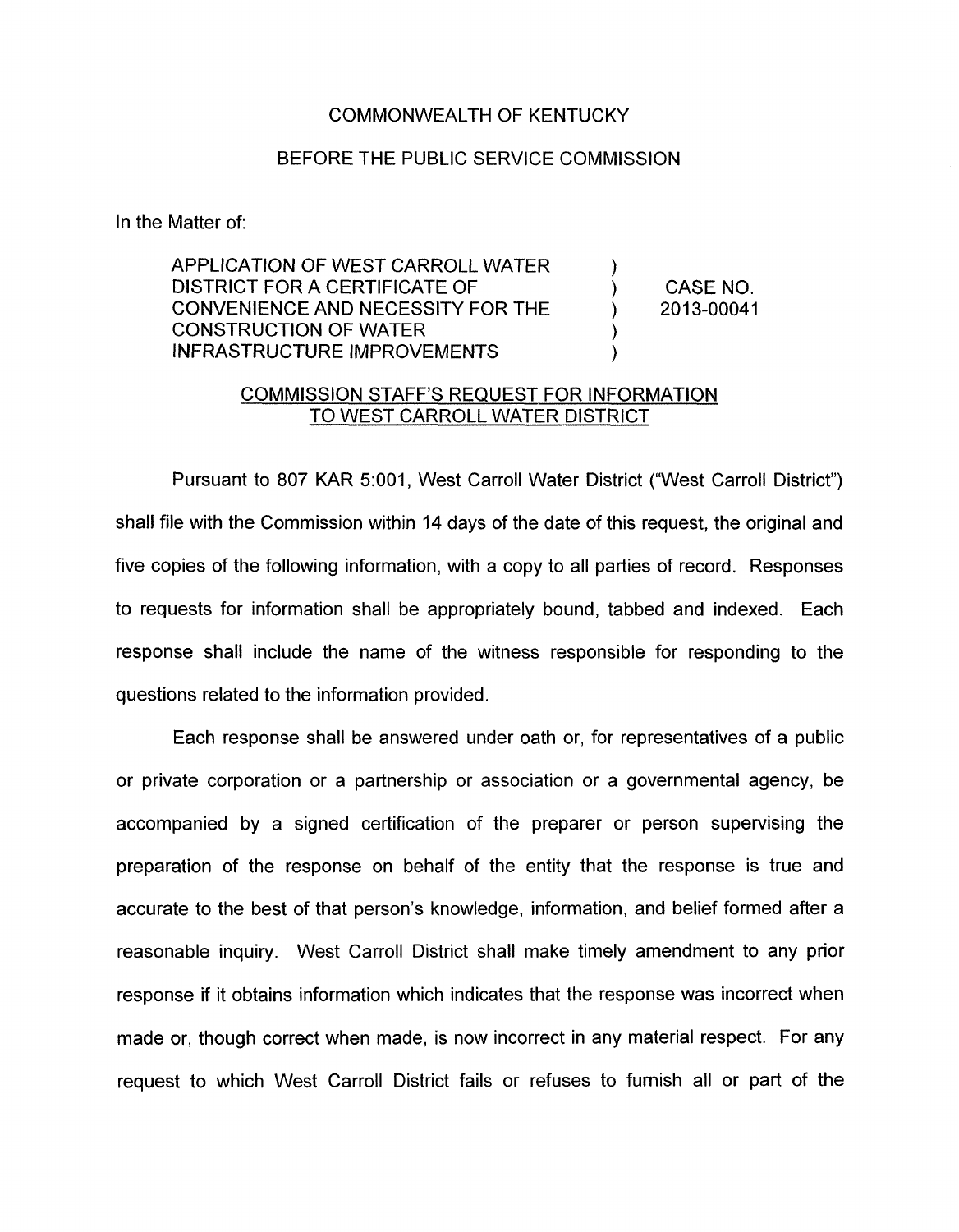## COMMONWEALTH OF KENTUCKY

## BEFORE THE PUBLIC SERVICE COMMISSION

In the Matter of:

APPLICATION OF WEST CARROLL WATER DISTRICT FOR A CERTIFICATE OF ) CASE NO. CONVENIENCE AND NECESSITY FOR THE ) 2013-00041 CONSTRUCTION OF WATER INFRASTRUCTURE IMPROVEMENTS

## COMMISSION STAFF'S REQUEST FOR INFORMATION TO WEST CARROLL WATER DISTRICT

Pursuant to 807 KAR 5:001, West Carroll Water District ("West Carroll District") shall file with the Commission within 14 days of the date of this request, the original and five copies of the following information, with a copy to all parties of record. Responses to requests for information shall be appropriately bound, tabbed and indexed. Each response shall include the name of the witness responsible for responding to the questions related to the information provided.

Each response shall be answered under oath or, for representatives of a public or private corporation or a partnership or association or a governmental agency, be accompanied by a signed certification of the preparer or person supervising the preparation of the response on behalf of the entity that the response is true and accurate to the best of that person's knowledge, information, and belief formed after a reasonable inquiry. West Carroll District shall make timely amendment to any prior response if it obtains information which indicates that the response was incorrect when made or, though correct when made, is now incorrect in any material respect. For any request to which West Carroll District fails or refuses to furnish all or part of the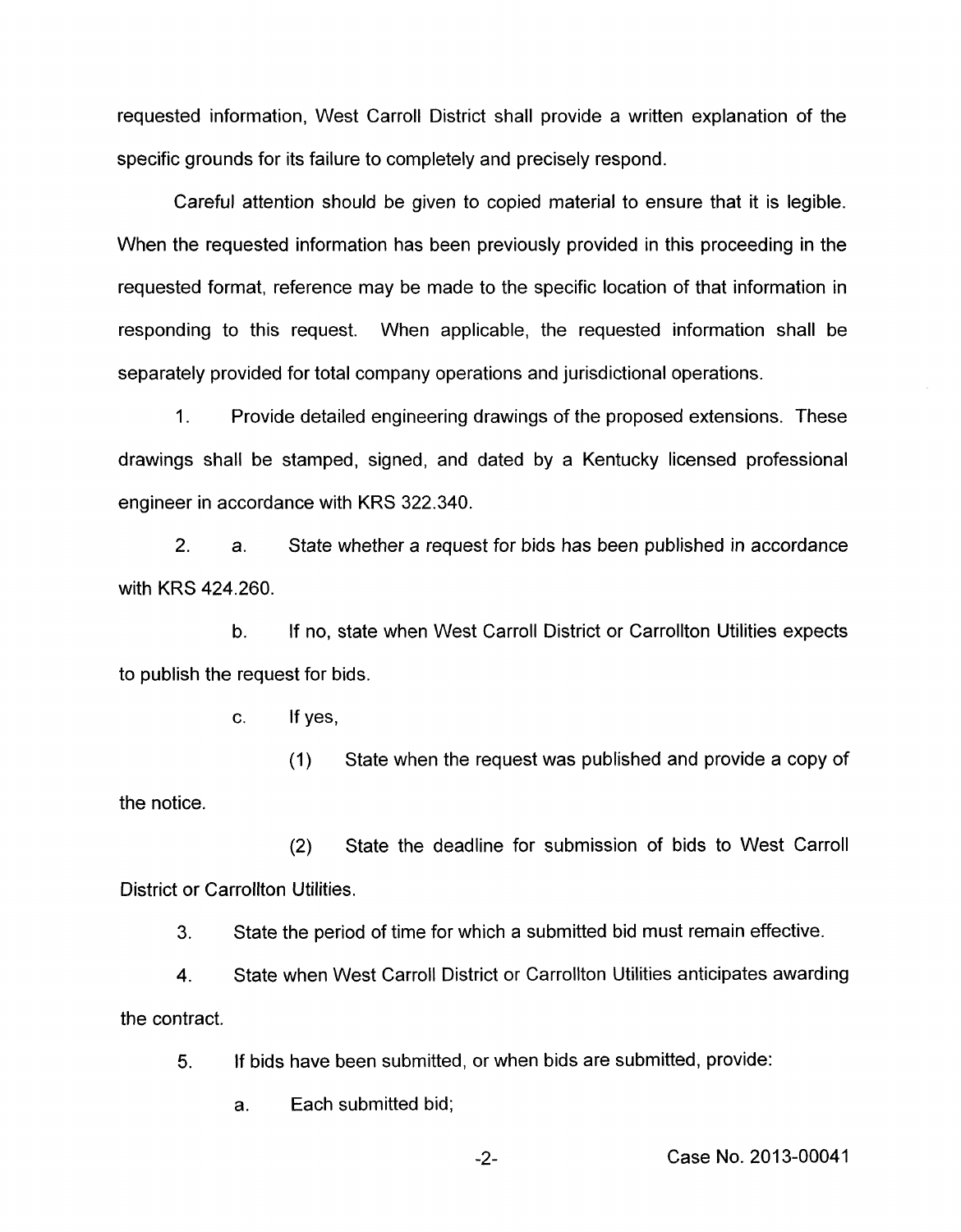requested information, West Carroll District shall provide a written explanation of the specific grounds for its failure to completely and precisely respond.

Careful attention should be given to copied material to ensure that it is legible. When the requested information has been previously provided in this proceeding in the requested format, reference may be made to the specific location of that information in responding to this request. When applicable, the requested information shall be separately provided for total company operations and jurisdictional operations.

1. Provide detailed engineering drawings of the proposed extensions. These drawings shall be stamped, signed, and dated by a Kentucky licensed professional engineer in accordance with KRS 322.340.

2. a. State whether a request for bids has been published in accordance with KRS 424.260.

b. to publish the request for bids. If no, state when West Carroll District or Carrollton Utilities expects

c. If yes,

(I) State when the request was published and provide a copy of the notice.

(2) State the deadline for submission of bids to West Carroll District or Carrollton Utilities.

3. State the period of time for which a submitted bid must remain effective.

**4.**  State when West Carroll District or Carrollton Utilities anticipates awarding the contract.

5. If bids have been submitted, or when bids are submitted, provide:

a. Each submitted bid;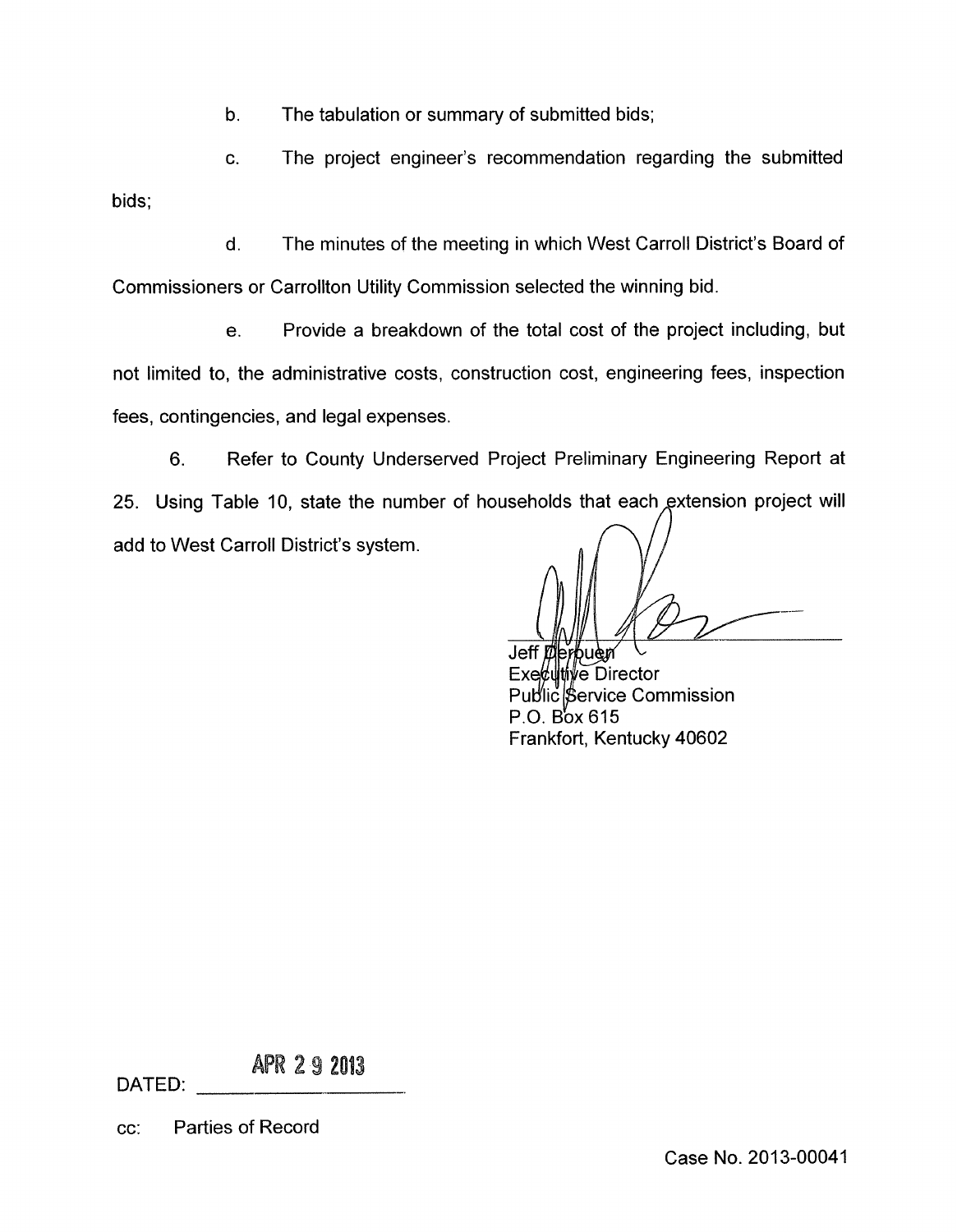b. The tabulation or summary of submitted bids;

c. The project engineer's recommendation regarding the submitted bids;

d. The minutes of the meeting in which West Carroll District's Board of Commissioners or Carrollton Utility Commission selected the winning bid.

e. Provide a breakdown of the total cost of the project including, but not limited to, the administrative costs, construction cost, engineering fees, inspection fees, contingencies, and legal expenses.

6. Refer to County Underserved Project Preliminary Engineering Report at 25. Using Table 10, state the number of households that each extension project will add to West Carroll District's system.

Jeff erbuen

Executive Director Public Service Commission  $P.O.$  Box 615 Frankfort, Kentucky 40602

APR 2 9 2013

cc: Parties of Record

DATED: